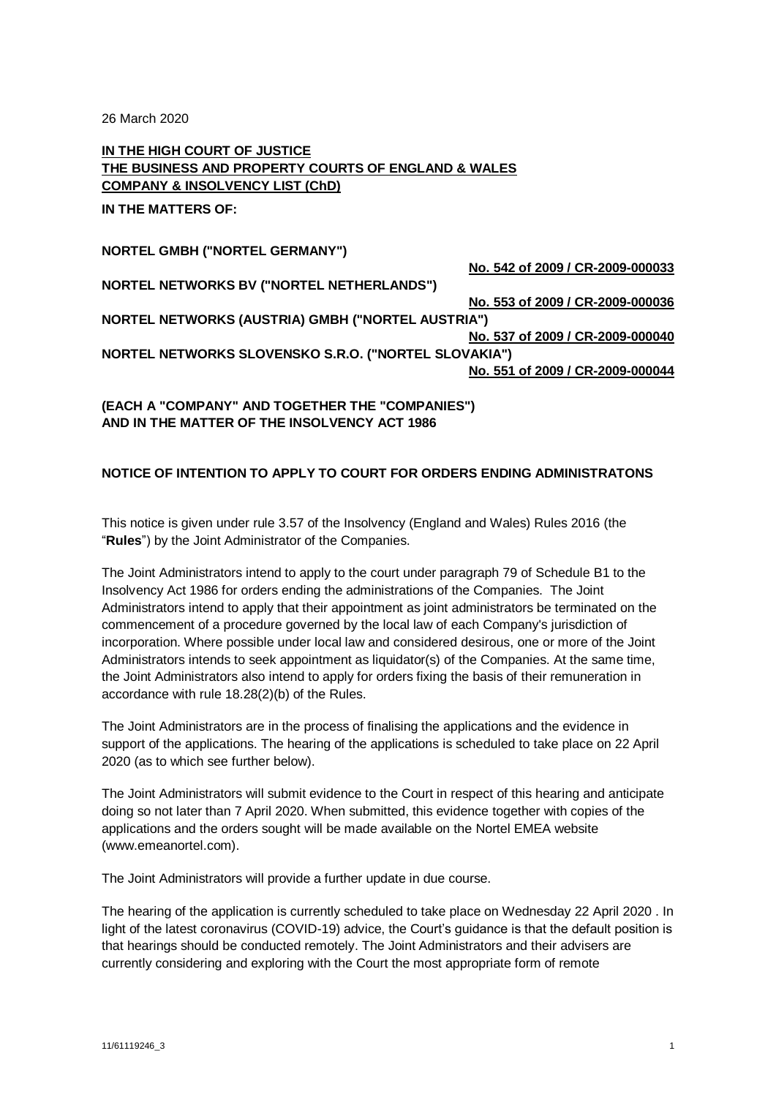26 March 2020

**IN THE HIGH COURT OF JUSTICE THE BUSINESS AND PROPERTY COURTS OF ENGLAND & WALES COMPANY & INSOLVENCY LIST (ChD)**

**IN THE MATTERS OF:**

## **NORTEL GMBH ("NORTEL GERMANY")**

**No. 542 of 2009 / CR-2009-000033 NORTEL NETWORKS BV ("NORTEL NETHERLANDS") No. 553 of 2009 / CR-2009-000036 NORTEL NETWORKS (AUSTRIA) GMBH ("NORTEL AUSTRIA") No. 537 of 2009 / CR-2009-000040 NORTEL NETWORKS SLOVENSKO S.R.O. ("NORTEL SLOVAKIA") No. 551 of 2009 / CR-2009-000044**

**(EACH A "COMPANY" AND TOGETHER THE "COMPANIES") AND IN THE MATTER OF THE INSOLVENCY ACT 1986**

## **NOTICE OF INTENTION TO APPLY TO COURT FOR ORDERS ENDING ADMINISTRATONS**

This notice is given under rule 3.57 of the Insolvency (England and Wales) Rules 2016 (the "**Rules**") by the Joint Administrator of the Companies.

The Joint Administrators intend to apply to the court under paragraph 79 of Schedule B1 to the Insolvency Act 1986 for orders ending the administrations of the Companies. The Joint Administrators intend to apply that their appointment as joint administrators be terminated on the commencement of a procedure governed by the local law of each Company's jurisdiction of incorporation. Where possible under local law and considered desirous, one or more of the Joint Administrators intends to seek appointment as liquidator(s) of the Companies. At the same time, the Joint Administrators also intend to apply for orders fixing the basis of their remuneration in accordance with rule 18.28(2)(b) of the Rules.

The Joint Administrators are in the process of finalising the applications and the evidence in support of the applications. The hearing of the applications is scheduled to take place on 22 April 2020 (as to which see further below).

The Joint Administrators will submit evidence to the Court in respect of this hearing and anticipate doing so not later than 7 April 2020. When submitted, this evidence together with copies of the applications and the orders sought will be made available on the Nortel EMEA website (www.emeanortel.com).

The Joint Administrators will provide a further update in due course.

The hearing of the application is currently scheduled to take place on Wednesday 22 April 2020 . In light of the latest coronavirus (COVID-19) advice, the Court's guidance is that the default position is that hearings should be conducted remotely. The Joint Administrators and their advisers are currently considering and exploring with the Court the most appropriate form of remote